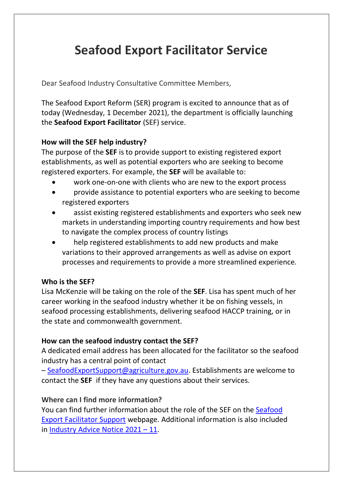# **Seafood Export Facilitator Service**

Dear Seafood Industry Consultative Committee Members,

The Seafood Export Reform (SER) program is excited to announce that as of today (Wednesday, 1 December 2021), the department is officially launching the **Seafood Export Facilitator** (SEF) service.

## **How will the SEF help industry?**

The purpose of the **SEF** is to provide support to existing registered export establishments, as well as potential exporters who are seeking to become registered exporters. For example, the **SEF** will be available to:

- work one-on-one with clients who are new to the export process
- provide assistance to potential exporters who are seeking to become registered exporters
- assist existing registered establishments and exporters who seek new markets in understanding importing country requirements and how best to navigate the complex process of country listings
- help registered establishments to add new products and make variations to their approved arrangements as well as advise on export processes and requirements to provide a more streamlined experience.

## **Who is the SEF?**

Lisa McKenzie will be taking on the role of the **SEF**. Lisa has spent much of her career working in the seafood industry whether it be on fishing vessels, in seafood processing establishments, delivering seafood HACCP training, or in the state and commonwealth government.

## **How can the seafood industry contact the SEF?**

A dedicated email address has been allocated for the facilitator so the seafood industry has a central point of contact

– [SeafoodExportSupport@agriculture.gov.au.](mailto:SeafoodExportSupport@agriculture.gov.au) Establishments are welcome to contact the **SEF** if they have any questions about their services.

## **Where can I find more information?**

You can find further information about the role of the SEF on the [Seafood](https://www.awe.gov.au/biosecurity-trade/export/controlled-goods/fish/export-facilitator-service) Export [Facilitator](https://www.awe.gov.au/biosecurity-trade/export/controlled-goods/fish/export-facilitator-service) Support webpage. Additional information is also included in [Industry](https://www.awe.gov.au/biosecurity-trade/export/controlled-goods/fish/industry-advice-notices/2021/2021-11) Advice Notice 2021 – 11.